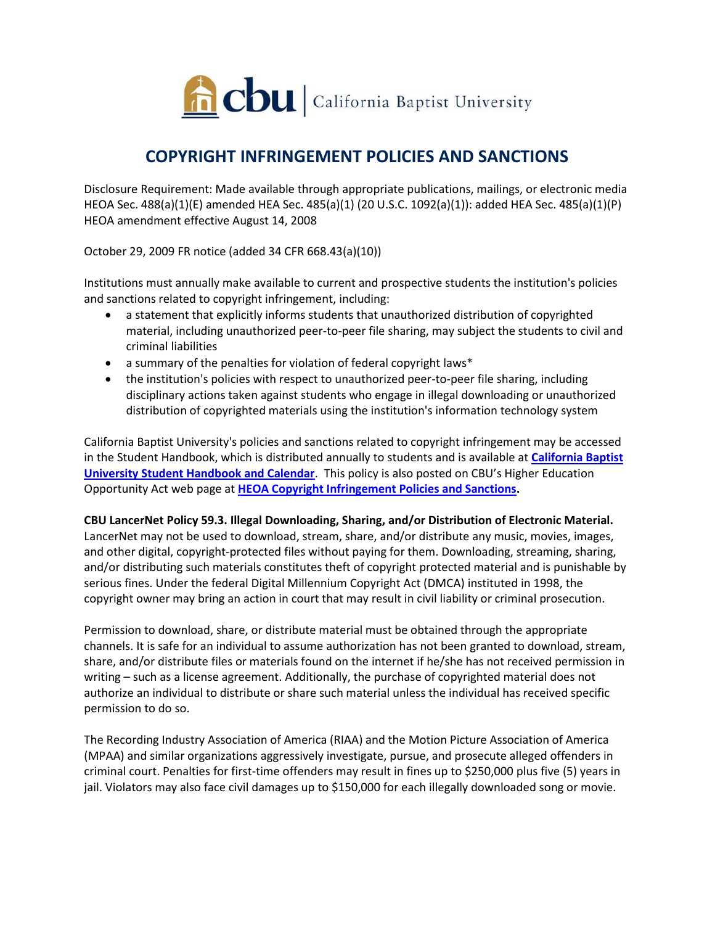

## **COPYRIGHT INFRINGEMENT POLICIES AND SANCTIONS**

Disclosure Requirement: Made available through appropriate publications, mailings, or electronic media HEOA Sec. 488(a)(1)(E) amended HEA Sec. 485(a)(1) (20 U.S.C. 1092(a)(1)): added HEA Sec. 485(a)(1)(P) HEOA amendment effective August 14, 2008

October 29, 2009 FR notice (added 34 CFR 668.43(a)(10))

Institutions must annually make available to current and prospective students the institution's policies and sanctions related to copyright infringement, including:

- a statement that explicitly informs students that unauthorized distribution of copyrighted material, including unauthorized peer-to-peer file sharing, may subject the students to civil and criminal liabilities
- a summary of the penalties for violation of federal copyright laws\*
- the institution's policies with respect to unauthorized peer-to-peer file sharing, including disciplinary actions taken against students who engage in illegal downloading or unauthorized distribution of copyrighted materials using the institution's information technology system

California Baptist University's policies and sanctions related to copyright infringement may be accessed in the Student Handbook, which is distributed annually to students and is available at **[California Baptist](http://www.thezonelive.com/SchoolStructure/CA_CaliforniaBaptistCollege/handbook.pdf)  [University Student Handbook and Calendar](http://www.thezonelive.com/SchoolStructure/CA_CaliforniaBaptistCollege/handbook.pdf)**. This policy is also posted on CBU's Higher Education Opportunity Act web page at **[HEOA Copyright Infringement Policies and Sanctions.](https://insidecbu.calbaptist.edu/ICS/icsfs/COPYRIGHT_INFRINGEMENT_POLICIES_AND_SANCTIONS.pdf?target=c5d71cc5-810f-4d98-82b1-6744aa09d9e8)**

**CBU LancerNet Policy 59.3. Illegal Downloading, Sharing, and/or Distribution of Electronic Material.**  LancerNet may not be used to download, stream, share, and/or distribute any music, movies, images, and other digital, copyright-protected files without paying for them. Downloading, streaming, sharing, and/or distributing such materials constitutes theft of copyright protected material and is punishable by serious fines. Under the federal Digital Millennium Copyright Act (DMCA) instituted in 1998, the copyright owner may bring an action in court that may result in civil liability or criminal prosecution.

Permission to download, share, or distribute material must be obtained through the appropriate channels. It is safe for an individual to assume authorization has not been granted to download, stream, share, and/or distribute files or materials found on the internet if he/she has not received permission in writing – such as a license agreement. Additionally, the purchase of copyrighted material does not authorize an individual to distribute or share such material unless the individual has received specific permission to do so.

The Recording Industry Association of America (RIAA) and the Motion Picture Association of America (MPAA) and similar organizations aggressively investigate, pursue, and prosecute alleged offenders in criminal court. Penalties for first-time offenders may result in fines up to \$250,000 plus five (5) years in jail. Violators may also face civil damages up to \$150,000 for each illegally downloaded song or movie.